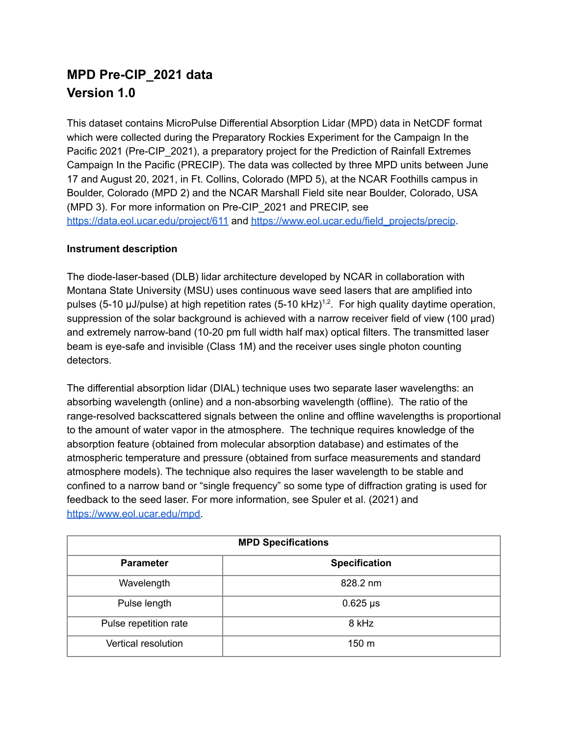# **MPD Pre-CIP\_2021 data Version 1.0**

This dataset contains MicroPulse Differential Absorption Lidar (MPD) data in NetCDF format which were collected during the Preparatory Rockies Experiment for the Campaign In the Pacific 2021 (Pre-CIP\_2021), a preparatory project for the Prediction of Rainfall Extremes Campaign In the Pacific (PRECIP). The data was collected by three MPD units between June 17 and August 20, 2021, in Ft. Collins, Colorado (MPD 5), at the NCAR Foothills campus in Boulder, Colorado (MPD 2) and the NCAR Marshall Field site near Boulder, Colorado, USA (MPD 3). For more information on Pre-CIP\_2021 and PRECIP, see <https://data.eol.ucar.edu/project/611> and [https://www.eol.ucar.edu/field\\_projects/precip](https://www.eol.ucar.edu/field_projects/precip).

# **Instrument description**

The diode-laser-based (DLB) lidar architecture developed by NCAR in collaboration with Montana State University (MSU) uses continuous wave seed lasers that are amplified into pulses (5-10  $\mu$ J/pulse) at high repetition rates (5-10 kHz)<sup>1,2</sup>. For high quality daytime operation, suppression of the solar background is achieved with a narrow receiver field of view (100 µrad) and extremely narrow-band (10-20 pm full width half max) optical filters. The transmitted laser beam is eye-safe and invisible (Class 1M) and the receiver uses single photon counting detectors.

The differential absorption lidar (DIAL) technique uses two separate laser wavelengths: an absorbing wavelength (online) and a non-absorbing wavelength (offline). The ratio of the range-resolved backscattered signals between the online and offline wavelengths is proportional to the amount of water vapor in the atmosphere. The technique requires knowledge of the absorption feature (obtained from molecular absorption database) and estimates of the atmospheric temperature and pressure (obtained from surface measurements and standard atmosphere models). The technique also requires the laser wavelength to be stable and confined to a narrow band or "single frequency" so some type of diffraction grating is used for feedback to the seed laser. For more information, see Spuler et al. (2021) and [https://www.eol.ucar.edu/mpd.](https://www.eol.ucar.edu/mpd)

| <b>MPD Specifications</b> |                      |
|---------------------------|----------------------|
| <b>Parameter</b>          | <b>Specification</b> |
| Wavelength                | 828.2 nm             |
| Pulse length              | $0.625 \,\mu s$      |
| Pulse repetition rate     | 8 kHz                |
| Vertical resolution       | 150 m                |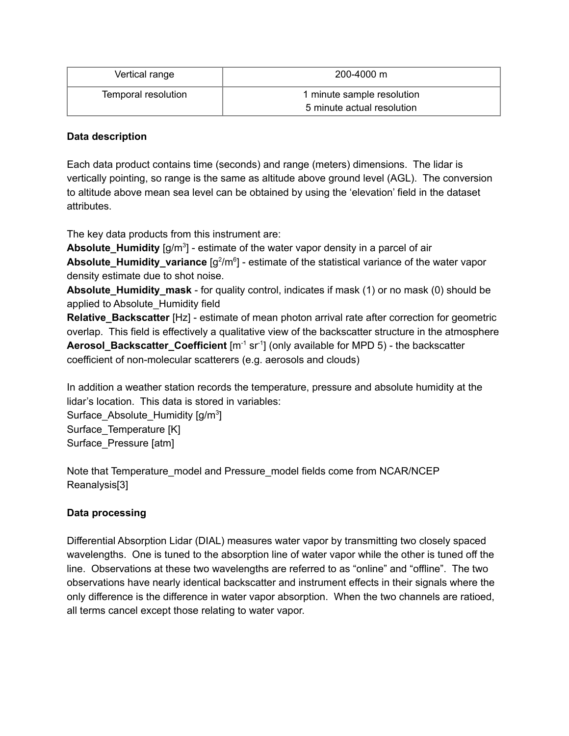| Vertical range      | 200-4000 m                                               |
|---------------------|----------------------------------------------------------|
| Temporal resolution | 1 minute sample resolution<br>5 minute actual resolution |

#### **Data description**

Each data product contains time (seconds) and range (meters) dimensions. The lidar is vertically pointing, so range is the same as altitude above ground level (AGL). The conversion to altitude above mean sea level can be obtained by using the 'elevation' field in the dataset attributes.

The key data products from this instrument are:

Absolute\_Humidity [g/m<sup>3</sup>] - estimate of the water vapor density in a parcel of air Absolute\_Humidity\_variance [g<sup>2</sup>/m<sup>6</sup>] - estimate of the statistical variance of the water vapor density estimate due to shot noise.

**Absolute\_Humidity\_mask** - for quality control, indicates if mask (1) or no mask (0) should be applied to Absolute\_Humidity field

**Relative Backscatter** [Hz] - estimate of mean photon arrival rate after correction for geometric overlap. This field is effectively a qualitative view of the backscatter structure in the atmosphere Aerosol\_Backscatter\_Coefficient [m<sup>-1</sup> sr<sup>-1</sup>] (only available for MPD 5) - the backscatter coefficient of non-molecular scatterers (e.g. aerosols and clouds)

In addition a weather station records the temperature, pressure and absolute humidity at the lidar's location. This data is stored in variables:

Surface\_Absolute\_Humidity [g/m<sup>3</sup>] Surface\_Temperature [K] Surface\_Pressure [atm]

Note that Temperature\_model and Pressure\_model fields come from NCAR/NCEP Reanalysis[3]

# **Data processing**

Differential Absorption Lidar (DIAL) measures water vapor by transmitting two closely spaced wavelengths. One is tuned to the absorption line of water vapor while the other is tuned off the line. Observations at these two wavelengths are referred to as "online" and "offline". The two observations have nearly identical backscatter and instrument effects in their signals where the only difference is the difference in water vapor absorption. When the two channels are ratioed, all terms cancel except those relating to water vapor.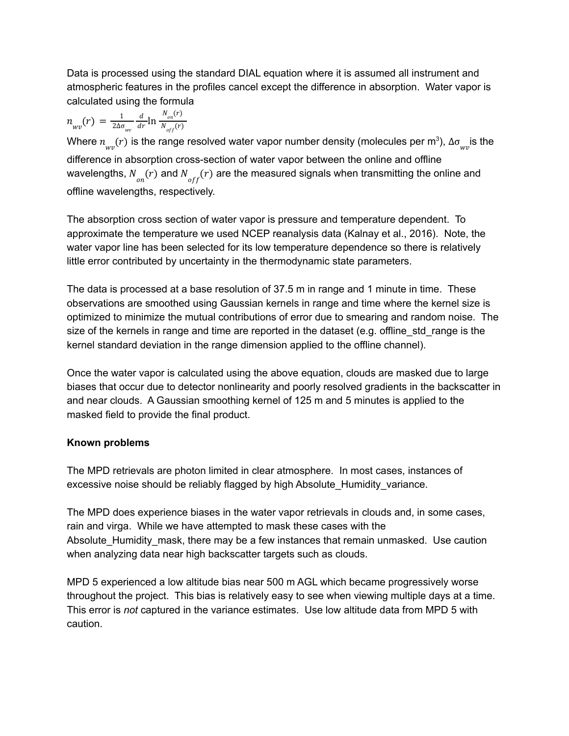Data is processed using the standard DIAL equation where it is assumed all instrument and atmospheric features in the profiles cancel except the difference in absorption. Water vapor is calculated using the formula

$$
n_{_{Wv}}(r) = \frac{1}{2\Delta\sigma_{_{Wv}}} \frac{d}{dr} \ln \frac{N_{_{on}}(r)}{N_{_{off}}(r)}
$$

Where  $n_{_{Wv}}^{}(r)$  is the range resolved water vapor number density (molecules per m $^3$ ),  $\Delta\sigma_{_{Wv}}^-$ is the difference in absorption cross-section of water vapor between the online and offline wavelengths,  $N_{_{\scriptstyle{O\!H}}}(r)$  and  $N_{_{\scriptstyle{O\!f\!f}}}(r)$  are the measured signals when transmitting the online and offline wavelengths, respectively.

The absorption cross section of water vapor is pressure and temperature dependent. To approximate the temperature we used NCEP reanalysis data (Kalnay et al., 2016). Note, the water vapor line has been selected for its low temperature dependence so there is relatively little error contributed by uncertainty in the thermodynamic state parameters.

The data is processed at a base resolution of 37.5 m in range and 1 minute in time. These observations are smoothed using Gaussian kernels in range and time where the kernel size is optimized to minimize the mutual contributions of error due to smearing and random noise. The size of the kernels in range and time are reported in the dataset (e.g. offline std range is the kernel standard deviation in the range dimension applied to the offline channel).

Once the water vapor is calculated using the above equation, clouds are masked due to large biases that occur due to detector nonlinearity and poorly resolved gradients in the backscatter in and near clouds. A Gaussian smoothing kernel of 125 m and 5 minutes is applied to the masked field to provide the final product.

# **Known problems**

The MPD retrievals are photon limited in clear atmosphere. In most cases, instances of excessive noise should be reliably flagged by high Absolute\_Humidity\_variance.

The MPD does experience biases in the water vapor retrievals in clouds and, in some cases, rain and virga. While we have attempted to mask these cases with the Absolute\_Humidity\_mask, there may be a few instances that remain unmasked. Use caution when analyzing data near high backscatter targets such as clouds.

MPD 5 experienced a low altitude bias near 500 m AGL which became progressively worse throughout the project. This bias is relatively easy to see when viewing multiple days at a time. This error is *not* captured in the variance estimates. Use low altitude data from MPD 5 with caution.